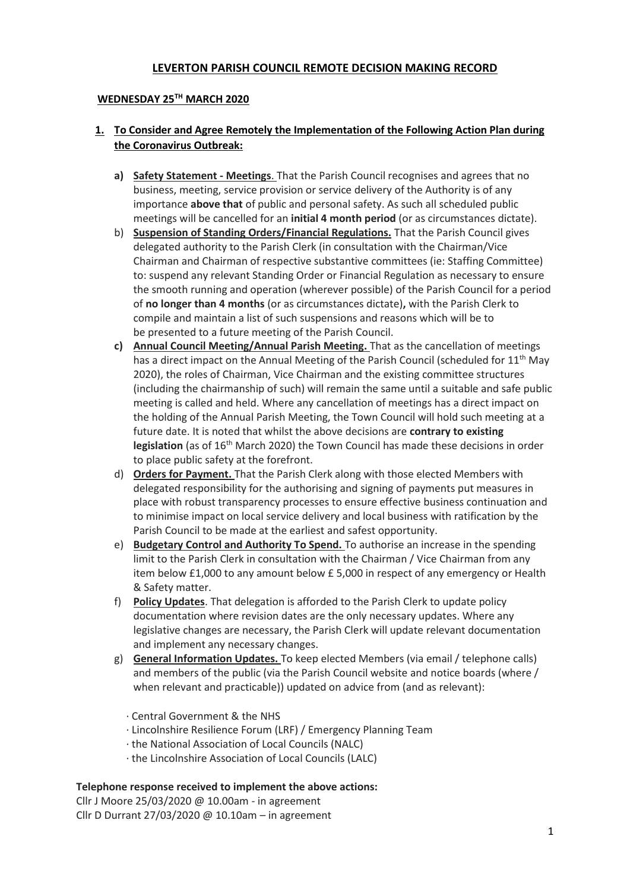### **LEVERTON PARISH COUNCIL REMOTE DECISION MAKING RECORD**

#### **WEDNESDAY 25TH MARCH 2020**

## **1. To Consider and Agree Remotely the Implementation of the Following Action Plan during the Coronavirus Outbreak:**

- **a) Safety Statement - Meetings**. That the Parish Council recognises and agrees that no business, meeting, service provision or service delivery of the Authority is of any importance **above that** of public and personal safety. As such all scheduled public meetings will be cancelled for an **initial 4 month period** (or as circumstances dictate).
- b) **Suspension of Standing Orders/Financial Regulations.** That the Parish Council gives delegated authority to the Parish Clerk (in consultation with the Chairman/Vice Chairman and Chairman of respective substantive committees (ie: Staffing Committee) to: suspend any relevant Standing Order or Financial Regulation as necessary to ensure the smooth running and operation (wherever possible) of the Parish Council for a period of **no longer than 4 months** (or as circumstances dictate)**,** with the Parish Clerk to compile and maintain a list of such suspensions and reasons which will be to be presented to a future meeting of the Parish Council.
- **c) Annual Council Meeting/Annual Parish Meeting.** That as the cancellation of meetings has a direct impact on the Annual Meeting of the Parish Council (scheduled for 11<sup>th</sup> May 2020), the roles of Chairman, Vice Chairman and the existing committee structures (including the chairmanship of such) will remain the same until a suitable and safe public meeting is called and held. Where any cancellation of meetings has a direct impact on the holding of the Annual Parish Meeting, the Town Council will hold such meeting at a future date. It is noted that whilst the above decisions are **contrary to existing**  legislation (as of 16<sup>th</sup> March 2020) the Town Council has made these decisions in order to place public safety at the forefront.
- d) **Orders for Payment.** That the Parish Clerk along with those elected Members with delegated responsibility for the authorising and signing of payments put measures in place with robust transparency processes to ensure effective business continuation and to minimise impact on local service delivery and local business with ratification by the Parish Council to be made at the earliest and safest opportunity.
- e) **Budgetary Control and Authority To Spend.** To authorise an increase in the spending limit to the Parish Clerk in consultation with the Chairman / Vice Chairman from any item below £1,000 to any amount below £ 5,000 in respect of any emergency or Health & Safety matter.
- f) **Policy Updates**. That delegation is afforded to the Parish Clerk to update policy documentation where revision dates are the only necessary updates. Where any legislative changes are necessary, the Parish Clerk will update relevant documentation and implement any necessary changes.
- g) **General Information Updates.** To keep elected Members (via email / telephone calls) and members of the public (via the Parish Council website and notice boards (where / when relevant and practicable)) updated on advice from (and as relevant):
	- · Central Government & the NHS
	- · Lincolnshire Resilience Forum (LRF) / Emergency Planning Team
	- · the National Association of Local Councils (NALC)
	- · the Lincolnshire Association of Local Councils (LALC)

#### **Telephone response received to implement the above actions:**

Cllr J Moore 25/03/2020 @ 10.00am - in agreement Cllr D Durrant 27/03/2020 @ 10.10am – in agreement